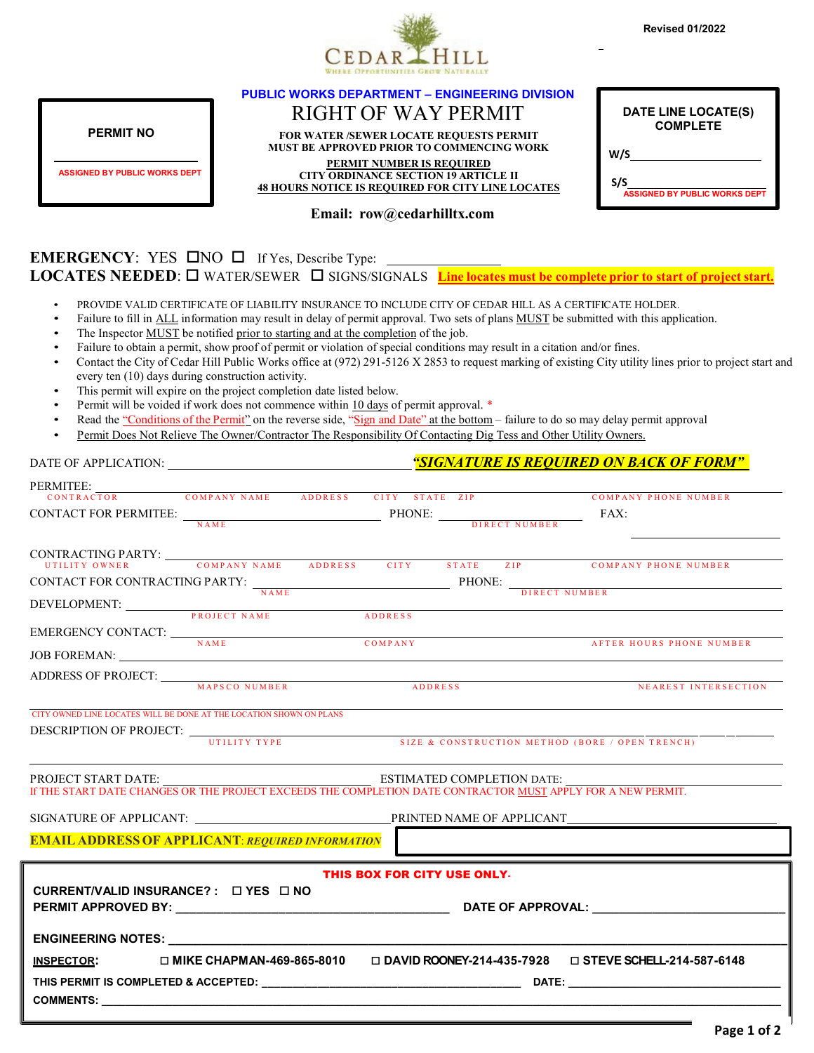

|                                                                     |                                                                                                         | <b>PUBLIC WORKS DEPARTMENT - ENGINEERING DIVISION</b>                                                                                                                                                                                                   |                                                                                                                                                          |
|---------------------------------------------------------------------|---------------------------------------------------------------------------------------------------------|---------------------------------------------------------------------------------------------------------------------------------------------------------------------------------------------------------------------------------------------------------|----------------------------------------------------------------------------------------------------------------------------------------------------------|
|                                                                     | <b>RIGHT OF WAY PERMIT</b><br>FOR WATER /SEWER LOCATE REQUESTS PERMIT                                   |                                                                                                                                                                                                                                                         | DATE LINE LOCATE(S)<br><b>COMPLETE</b>                                                                                                                   |
| <b>PERMIT NO</b>                                                    |                                                                                                         |                                                                                                                                                                                                                                                         |                                                                                                                                                          |
|                                                                     |                                                                                                         | MUST BE APPROVED PRIOR TO COMMENCING WORK<br>PERMIT NUMBER IS REQUIRED                                                                                                                                                                                  | W/S                                                                                                                                                      |
| <b>ASSIGNED BY PUBLIC WORKS DEPT</b>                                | <b>CITY ORDINANCE SECTION 19 ARTICLE II</b><br><b>48 HOURS NOTICE IS REQUIRED FOR CITY LINE LOCATES</b> |                                                                                                                                                                                                                                                         | S<br>ASSIGNED BY PUBLIC WORKS DEPT<br>S/S                                                                                                                |
|                                                                     |                                                                                                         | Email: row@cedarhilltx.com                                                                                                                                                                                                                              |                                                                                                                                                          |
|                                                                     |                                                                                                         |                                                                                                                                                                                                                                                         |                                                                                                                                                          |
| <b>EMERGENCY:</b> YES $\Box$ NO $\Box$ If Yes, Describe Type:       |                                                                                                         |                                                                                                                                                                                                                                                         | LOCATES NEEDED: $\square$ WATER/SEWER $\;\square$ SIGNS/SIGNALS Line locates must be complete prior to start of project start.                           |
|                                                                     |                                                                                                         |                                                                                                                                                                                                                                                         |                                                                                                                                                          |
|                                                                     |                                                                                                         | PROVIDE VALID CERTIFICATE OF LIABILITY INSURANCE TO INCLUDE CITY OF CEDAR HILL AS A CERTIFICATE HOLDER.<br>Failure to fill in ALL information may result in delay of permit approval. Two sets of plans MUST be submitted with this application.        |                                                                                                                                                          |
|                                                                     | The Inspector MUST be notified prior to starting and at the completion of the job.                      |                                                                                                                                                                                                                                                         |                                                                                                                                                          |
|                                                                     |                                                                                                         | Failure to obtain a permit, show proof of permit or violation of special conditions may result in a citation and/or fines.                                                                                                                              |                                                                                                                                                          |
| every ten (10) days during construction activity.                   |                                                                                                         |                                                                                                                                                                                                                                                         | Contact the City of Cedar Hill Public Works office at (972) 291-5126 X 2853 to request marking of existing City utility lines prior to project start and |
| $\bullet$                                                           | This permit will expire on the project completion date listed below.                                    |                                                                                                                                                                                                                                                         |                                                                                                                                                          |
|                                                                     | Permit will be voided if work does not commence within 10 days of permit approval. *                    |                                                                                                                                                                                                                                                         |                                                                                                                                                          |
| $\bullet$                                                           |                                                                                                         | Read the "Conditions of the Permit" on the reverse side, "Sign and Date" at the bottom – failure to do so may delay permit approval<br>Permit Does Not Relieve The Owner/Contractor The Responsibility Of Contacting Dig Tess and Other Utility Owners. |                                                                                                                                                          |
|                                                                     |                                                                                                         |                                                                                                                                                                                                                                                         |                                                                                                                                                          |
|                                                                     |                                                                                                         |                                                                                                                                                                                                                                                         |                                                                                                                                                          |
| PERMITEE:                                                           |                                                                                                         |                                                                                                                                                                                                                                                         | <b>COMPANY PHONE NUMBER</b>                                                                                                                              |
|                                                                     |                                                                                                         |                                                                                                                                                                                                                                                         | FAX:                                                                                                                                                     |
|                                                                     |                                                                                                         | CONTACT FOR PERMITEE: $\frac{1}{N\text{AME}}$ PHONE: $\frac{1}{N\text{E}}$                                                                                                                                                                              |                                                                                                                                                          |
|                                                                     |                                                                                                         |                                                                                                                                                                                                                                                         |                                                                                                                                                          |
|                                                                     |                                                                                                         |                                                                                                                                                                                                                                                         | ZIP<br><b>COMPANY PHONE NUMBER</b>                                                                                                                       |
|                                                                     |                                                                                                         |                                                                                                                                                                                                                                                         | CONTACT FOR CONTRACTING PARTY: $\frac{NAME}{NAME}$ PHONE: $\frac{DIRECT NUMBER}{DIRECT NUMBER}$                                                          |
| DEVELOPMENT: <u>NAME</u><br>PROJECT NAME ADDRESS                    |                                                                                                         |                                                                                                                                                                                                                                                         |                                                                                                                                                          |
| EMERGENCY CONTACT: NAME COMPANY                                     |                                                                                                         |                                                                                                                                                                                                                                                         |                                                                                                                                                          |
| <b>JOB FOREMAN:</b>                                                 |                                                                                                         |                                                                                                                                                                                                                                                         | AFTER HOURS PHONE NUMBER                                                                                                                                 |
|                                                                     |                                                                                                         |                                                                                                                                                                                                                                                         |                                                                                                                                                          |
| ADDRESS OF PROJECT: MAPSCO NUMBER<br>MAPSCO NUMBER                  |                                                                                                         |                                                                                                                                                                                                                                                         |                                                                                                                                                          |
| CITY OWNED LINE LOCATES WILL BE DONE AT THE LOCATION SHOWN ON PLANS |                                                                                                         |                                                                                                                                                                                                                                                         |                                                                                                                                                          |
|                                                                     |                                                                                                         | DESCRIPTION OF PROJECT: UTILITY TYPE SIZE & CONSTRUCTION METHOD (BORE / OPEN TRENCH)                                                                                                                                                                    |                                                                                                                                                          |
|                                                                     |                                                                                                         |                                                                                                                                                                                                                                                         |                                                                                                                                                          |
|                                                                     |                                                                                                         |                                                                                                                                                                                                                                                         |                                                                                                                                                          |
|                                                                     |                                                                                                         |                                                                                                                                                                                                                                                         | ESTIMATED COMPLETION DATE:<br>If THE START DATE CHANGES OR THE PROJECT EXCEEDS THE COMPLETION DATE CONTRACTOR <u>MUST</u> APPLY FOR A NEW PERMIT.        |
|                                                                     |                                                                                                         |                                                                                                                                                                                                                                                         |                                                                                                                                                          |
|                                                                     |                                                                                                         | SIGNATURE OF APPLICANT: THE PRINTED NAME OF APPLICANT                                                                                                                                                                                                   |                                                                                                                                                          |
| <b>EMAIL ADDRESS OF APPLICANT: REQUIRED INFORMATION</b>             |                                                                                                         |                                                                                                                                                                                                                                                         |                                                                                                                                                          |
|                                                                     |                                                                                                         | THIS BOX FOR CITY USE ONLY.                                                                                                                                                                                                                             |                                                                                                                                                          |
| CURRENT/VALID INSURANCE?: $\Box$ YES $\Box$ NO                      |                                                                                                         |                                                                                                                                                                                                                                                         |                                                                                                                                                          |
|                                                                     |                                                                                                         |                                                                                                                                                                                                                                                         |                                                                                                                                                          |
|                                                                     |                                                                                                         |                                                                                                                                                                                                                                                         |                                                                                                                                                          |
|                                                                     |                                                                                                         |                                                                                                                                                                                                                                                         |                                                                                                                                                          |
| <b>INSPECTOR:</b>                                                   |                                                                                                         |                                                                                                                                                                                                                                                         | $\Box$ MIKE CHAPMAN-469-865-8010 $\Box$ DAVID ROONEY-214-435-7928 $\Box$ STEVE SCHELL-214-587-6148                                                       |
|                                                                     |                                                                                                         |                                                                                                                                                                                                                                                         |                                                                                                                                                          |

**COMMENTS: \_\_\_\_\_\_\_\_\_\_\_\_\_\_\_\_\_\_\_\_\_\_\_\_\_\_\_\_\_\_\_\_\_\_\_\_\_\_\_\_\_\_\_\_\_\_\_\_\_\_\_\_\_\_\_\_\_\_\_\_\_\_\_\_\_\_\_\_\_\_\_\_\_\_\_\_\_\_\_\_\_\_\_\_\_\_\_\_\_\_\_\_\_\_\_\_\_\_\_\_\_\_\_\_\_\_\_\_\_\_\_\_\_\_\_**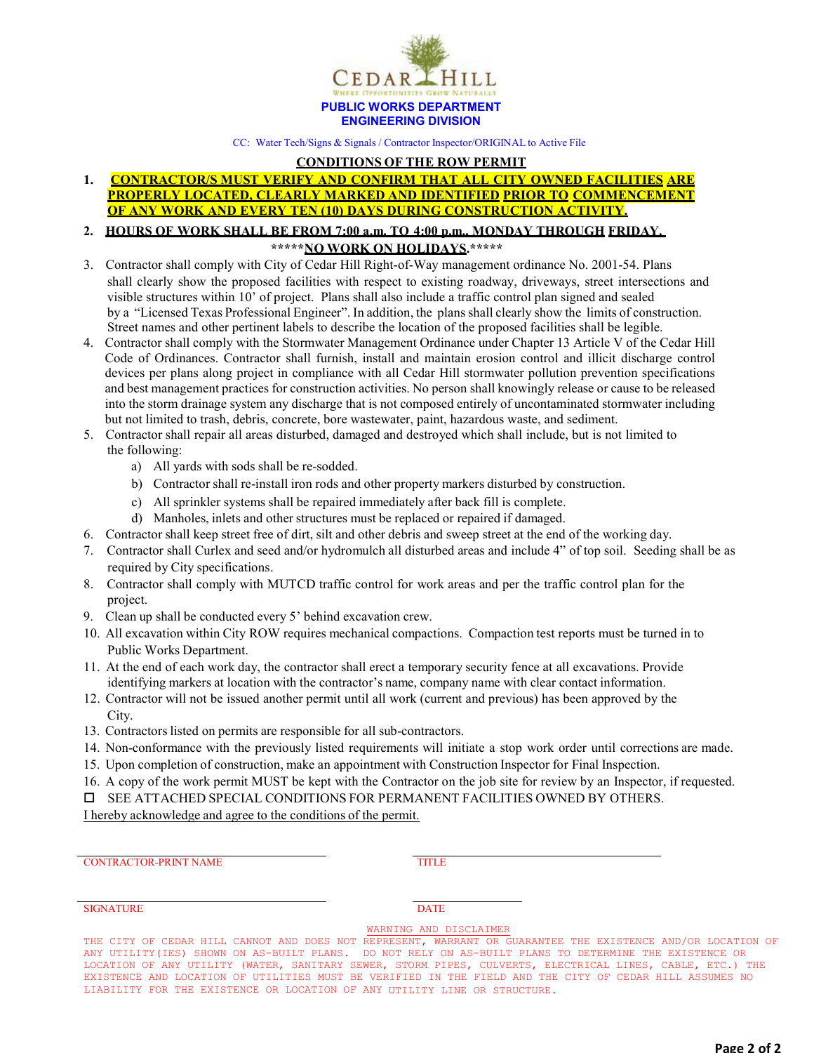

CC: Water Tech/Signs & Signals / Contractor Inspector/ORIGINAL to Active File

### **CONDITIONS OF THE ROW PERMIT**

## **1. CONTRACTOR/S MUST VERIFY AND CONFIRM THAT ALL CITY OWNED FACILITIES ARE PROPERLY LOCATED, CLEARLY MARKED AND IDENTIFIED PRIOR TO COMMENCEMENT OF ANY WORK AND EVERY TEN (10) DAYS DURING CONSTRUCTION ACTIVITY.**

### **2. HOURS OF WORK SHALL BE FROM 7:00 a.m. TO 4:00 p.m., MONDAY THROUGH FRIDAY. \*\*\*\*\*NO WORK ON HOLIDAYS.\*\*\*\*\***

- 3. Contractor shall comply with City of Cedar Hill Right-of-Way management ordinance No. 2001-54. Plans shall clearly show the proposed facilities with respect to existing roadway, driveways, street intersections and visible structures within 10' of project. Plans shall also include a traffic control plan signed and sealed by a "Licensed Texas Professional Engineer". In addition, the plans shall clearly show the limits of construction. Street names and other pertinent labels to describe the location of the proposed facilities shall be legible.
- 4. Contractor shall comply with the Stormwater Management Ordinance under Chapter 13 Article V of the Cedar Hill Code of Ordinances. Contractor shall furnish, install and maintain erosion control and illicit discharge control devices per plans along project in compliance with all Cedar Hill stormwater pollution prevention specifications and best management practices for construction activities. No person shall knowingly release or cause to be released into the storm drainage system any discharge that is not composed entirely of uncontaminated stormwater including but not limited to trash, debris, concrete, bore wastewater, paint, hazardous waste, and sediment.
- 5. Contractor shall repair all areas disturbed, damaged and destroyed which shall include, but is not limited to the following:
	- a) All yards with sods shall be re-sodded.
	- b) Contractor shall re-install iron rods and other property markers disturbed by construction.
	- c) All sprinkler systems shall be repaired immediately after back fill is complete.
	- d) Manholes, inlets and other structures must be replaced or repaired if damaged.
- 6. Contractor shall keep street free of dirt, silt and other debris and sweep street at the end of the working day.
- 7. Contractor shall Curlex and seed and/or hydromulch all disturbed areas and include 4" of top soil. Seeding shall be as required by City specifications.
- 8. Contractor shall comply with MUTCD traffic control for work areas and per the traffic control plan for the project.
- 9. Clean up shall be conducted every 5' behind excavation crew.
- 10. All excavation within City ROW requires mechanical compactions. Compaction test reports must be turned in to Public Works Department.
- 11. At the end of each work day, the contractor shall erect a temporary security fence at all excavations. Provide identifying markers at location with the contractor's name, company name with clear contact information.
- 12. Contractor will not be issued another permit until all work (current and previous) has been approved by the City.
- 13. Contractors listed on permits are responsible for all sub-contractors.
- 14. Non-conformance with the previously listed requirements will initiate a stop work order until corrections are made.
- 15. Upon completion of construction, make an appointment with Construction Inspector for Final Inspection.
- 16. A copy of the work permit MUST be kept with the Contractor on the job site for review by an Inspector, if requested.
- SEE ATTACHED SPECIAL CONDITIONS FOR PERMANENT FACILITIES OWNED BY OTHERS.

I hereby acknowledge and agree to the conditions of the permit.

CONTRACTOR-PRINT NAME TITLE

#### SIGNATURE DATE

WARNING AND DISCLAIMER

THE CITY OF CEDAR HILL CANNOT AND DOES NOT REPRESENT, WARRANT OR GUARANTEE THE EXISTENCE AND/OR LOCATION OF ANY UTILITY(IES) SHOWN ON AS-BUILT PLANS. DO NOT RELY ON AS-BUILT PLANS TO DETERMINE THE EXISTENCE OR LOCATION OF ANY UTILITY (WATER, SANITARY SEWER, STORM PIPES, CULVERTS, ELECTRICAL LINES, CABLE, ETC.) THE EXISTENCE AND LOCATION OF UTILITIES MUST BE VERIFIED IN THE FIELD AND THE CITY OF CEDAR HILL ASSUMES NO LIABILITY FOR THE EXISTENCE OR LOCATION OF ANY UTILITY LINE OR STRUCTURE.